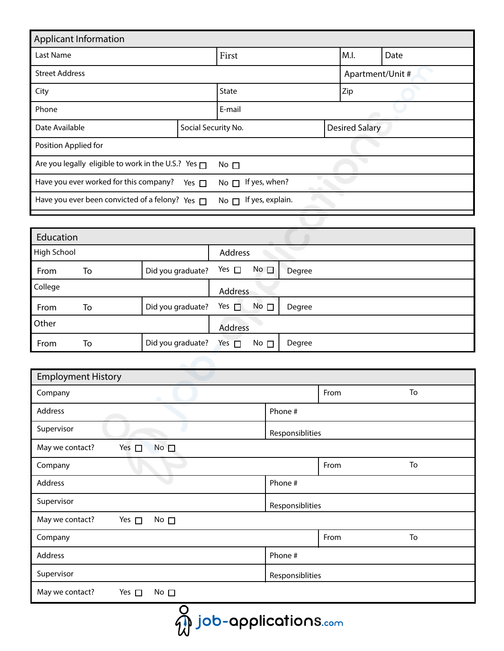| <b>Applicant Information</b>                             |                                       |              |                  |                       |  |  |
|----------------------------------------------------------|---------------------------------------|--------------|------------------|-----------------------|--|--|
| Last Name                                                | First                                 |              | M.I.             | Date                  |  |  |
| <b>Street Address</b>                                    |                                       |              | Apartment/Unit # |                       |  |  |
| City                                                     |                                       | <b>State</b> |                  | Zip                   |  |  |
| Phone                                                    |                                       | E-mail       |                  |                       |  |  |
| Date Available                                           | Social Security No.                   |              |                  | <b>Desired Salary</b> |  |  |
| Position Applied for                                     |                                       |              |                  |                       |  |  |
| Are you legally eligible to work in the U.S.? Yes $\Box$ | No $\square$                          |              |                  |                       |  |  |
| Have you ever worked for this company?                   | If yes, when?<br>$No \nightharpoonup$ |              |                  |                       |  |  |
| Have you ever been convicted of a felony? Yes $\Box$     | If yes, explain.<br>No $\Box$         |              |                  |                       |  |  |

| Education   |    |                   |                |              |        |
|-------------|----|-------------------|----------------|--------------|--------|
| High School |    |                   | <b>Address</b> |              |        |
| From        | To | Did you graduate? | Yes $\square$  | No $\square$ | Degree |
| College     |    |                   | Address        |              |        |
| From        | To | Did you graduate? | Yes $\Box$     | No $\square$ | Degree |
| Other       |    | <b>Address</b>    |                |              |        |
| From        | To | Did you graduate? | Yes $\square$  | No $\square$ | Degree |

| <b>Employment History</b>                        |                 |      |    |
|--------------------------------------------------|-----------------|------|----|
| Company                                          |                 | From | To |
| Address                                          | Phone #         |      |    |
| Supervisor                                       | Responsiblities |      |    |
| Yes $\square$<br>May we contact?<br>$No \Box$    |                 |      |    |
| Company                                          |                 | From | To |
| Address                                          | Phone #         |      |    |
| Supervisor                                       | Responsiblities |      |    |
| May we contact?<br>Yes $\Box$<br>No $\square$    |                 |      |    |
| Company                                          |                 | From | To |
| Address                                          | Phone #         |      |    |
| Supervisor                                       | Responsiblities |      |    |
| May we contact?<br>Yes $\square$<br>No $\square$ |                 |      |    |